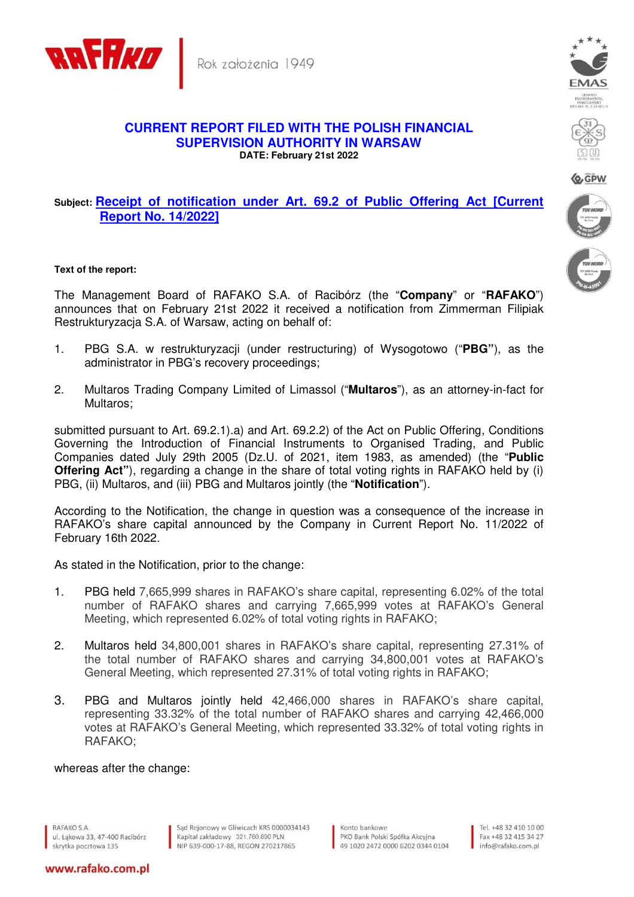

Rok założenia 1949

## **CURRENT REPORT FILED WITH THE POLISH FINANCIAL SUPERVISION AUTHORITY IN WARSAW DATE: February 21st 2022**

## **Subject: Receipt of notification under Art. 69.2 of Public Offering Act [Current Report No. 14/2022]**

## **Text of the report:**

The Management Board of RAFAKO S.A. of Racibórz (the "**Company**" or "**RAFAKO**") announces that on February 21st 2022 it received a notification from Zimmerman Filipiak Restrukturyzacja S.A. of Warsaw, acting on behalf of:

- 1. PBG S.A. w restrukturyzacji (under restructuring) of Wysogotowo ("**PBG"**), as the administrator in PBG's recovery proceedings;
- 2. Multaros Trading Company Limited of Limassol ("**Multaros**"), as an attorney-in-fact for Multaros;

submitted pursuant to Art. 69.2.1).a) and Art. 69.2.2) of the Act on Public Offering, Conditions Governing the Introduction of Financial Instruments to Organised Trading, and Public Companies dated July 29th 2005 (Dz.U. of 2021, item 1983, as amended) (the "**Public Offering Act"**), regarding a change in the share of total voting rights in RAFAKO held by (i) PBG, (ii) Multaros, and (iii) PBG and Multaros jointly (the "**Notification**").

According to the Notification, the change in question was a consequence of the increase in RAFAKO's share capital announced by the Company in Current Report No. 11/2022 of February 16th 2022.

As stated in the Notification, prior to the change:

- 1. PBG held 7,665,999 shares in RAFAKO's share capital, representing 6.02% of the total number of RAFAKO shares and carrying 7,665,999 votes at RAFAKO's General Meeting, which represented 6.02% of total voting rights in RAFAKO;
- 2. Multaros held 34,800,001 shares in RAFAKO's share capital, representing 27.31% of the total number of RAFAKO shares and carrying 34,800,001 votes at RAFAKO's General Meeting, which represented 27.31% of total voting rights in RAFAKO;
- 3. PBG and Multaros jointly held 42,466,000 shares in RAFAKO's share capital, representing 33.32% of the total number of RAFAKO shares and carrying 42,466,000 votes at RAFAKO's General Meeting, which represented 33.32% of total voting rights in RAFAKO;

whereas after the change:

RAFAKO S.A. ul. Łąkowa 33, 47-400 Racibórz skrytka pocztowa 135

www.rafako.com.pl